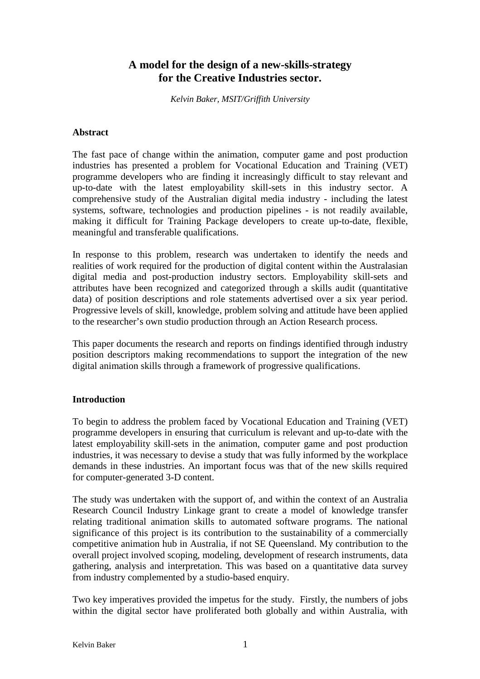# **A model for the design of a new-skills-strategy for the Creative Industries sector.**

*Kelvin Baker, MSIT/Griffith University* 

### **Abstract**

The fast pace of change within the animation, computer game and post production industries has presented a problem for Vocational Education and Training (VET) programme developers who are finding it increasingly difficult to stay relevant and up-to-date with the latest employability skill-sets in this industry sector. A comprehensive study of the Australian digital media industry - including the latest systems, software, technologies and production pipelines - is not readily available, making it difficult for Training Package developers to create up-to-date, flexible, meaningful and transferable qualifications.

In response to this problem, research was undertaken to identify the needs and realities of work required for the production of digital content within the Australasian digital media and post-production industry sectors. Employability skill-sets and attributes have been recognized and categorized through a skills audit (quantitative data) of position descriptions and role statements advertised over a six year period. Progressive levels of skill, knowledge, problem solving and attitude have been applied to the researcher's own studio production through an Action Research process.

This paper documents the research and reports on findings identified through industry position descriptors making recommendations to support the integration of the new digital animation skills through a framework of progressive qualifications.

### **Introduction**

To begin to address the problem faced by Vocational Education and Training (VET) programme developers in ensuring that curriculum is relevant and up-to-date with the latest employability skill-sets in the animation, computer game and post production industries, it was necessary to devise a study that was fully informed by the workplace demands in these industries. An important focus was that of the new skills required for computer-generated 3-D content.

The study was undertaken with the support of, and within the context of an Australia Research Council Industry Linkage grant to create a model of knowledge transfer relating traditional animation skills to automated software programs. The national significance of this project is its contribution to the sustainability of a commercially competitive animation hub in Australia, if not SE Queensland. My contribution to the overall project involved scoping, modeling, development of research instruments, data gathering, analysis and interpretation. This was based on a quantitative data survey from industry complemented by a studio-based enquiry.

Two key imperatives provided the impetus for the study. Firstly, the numbers of jobs within the digital sector have proliferated both globally and within Australia, with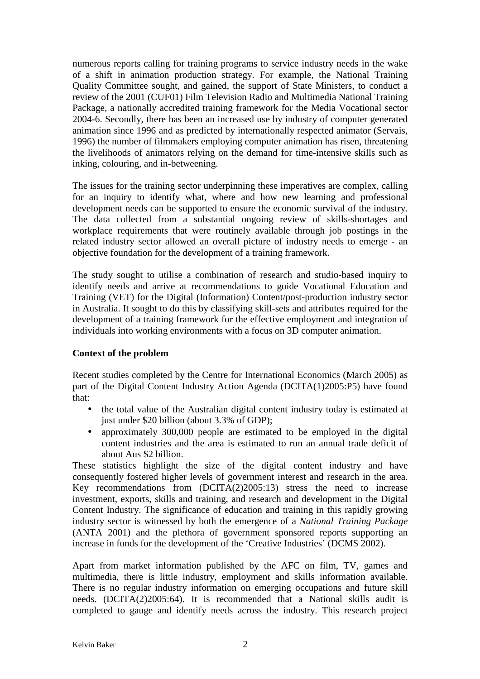numerous reports calling for training programs to service industry needs in the wake of a shift in animation production strategy. For example, the National Training Quality Committee sought, and gained, the support of State Ministers, to conduct a review of the 2001 (CUF01) Film Television Radio and Multimedia National Training Package, a nationally accredited training framework for the Media Vocational sector 2004-6. Secondly, there has been an increased use by industry of computer generated animation since 1996 and as predicted by internationally respected animator (Servais, 1996) the number of filmmakers employing computer animation has risen, threatening the livelihoods of animators relying on the demand for time-intensive skills such as inking, colouring, and in-betweening.

The issues for the training sector underpinning these imperatives are complex, calling for an inquiry to identify what, where and how new learning and professional development needs can be supported to ensure the economic survival of the industry. The data collected from a substantial ongoing review of skills-shortages and workplace requirements that were routinely available through job postings in the related industry sector allowed an overall picture of industry needs to emerge - an objective foundation for the development of a training framework.

The study sought to utilise a combination of research and studio-based inquiry to identify needs and arrive at recommendations to guide Vocational Education and Training (VET) for the Digital (Information) Content/post-production industry sector in Australia. It sought to do this by classifying skill-sets and attributes required for the development of a training framework for the effective employment and integration of individuals into working environments with a focus on 3D computer animation.

## **Context of the problem**

Recent studies completed by the Centre for International Economics (March 2005) as part of the Digital Content Industry Action Agenda (DCITA(1)2005:P5) have found that:

- the total value of the Australian digital content industry today is estimated at just under \$20 billion (about 3.3% of GDP);
- approximately 300,000 people are estimated to be employed in the digital content industries and the area is estimated to run an annual trade deficit of about Aus \$2 billion.

These statistics highlight the size of the digital content industry and have consequently fostered higher levels of government interest and research in the area. Key recommendations from (DCITA(2)2005:13) stress the need to increase investment, exports, skills and training, and research and development in the Digital Content Industry. The significance of education and training in this rapidly growing industry sector is witnessed by both the emergence of a *National Training Package* (ANTA 2001) and the plethora of government sponsored reports supporting an increase in funds for the development of the 'Creative Industries' (DCMS 2002).

Apart from market information published by the AFC on film, TV, games and multimedia, there is little industry, employment and skills information available. There is no regular industry information on emerging occupations and future skill needs. (DCITA(2)2005:64). It is recommended that a National skills audit is completed to gauge and identify needs across the industry. This research project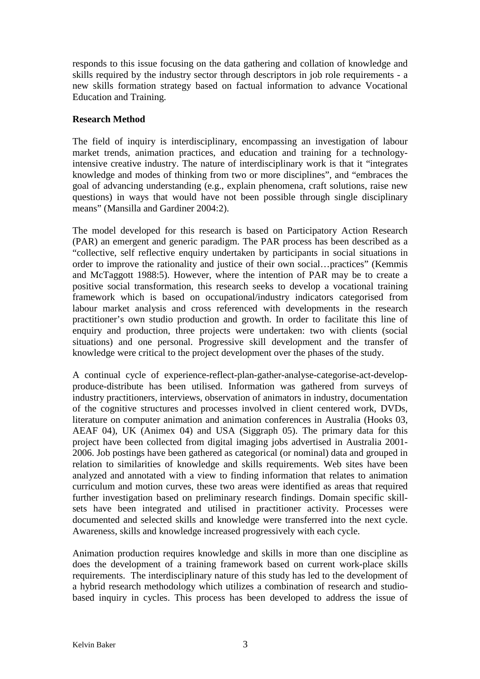responds to this issue focusing on the data gathering and collation of knowledge and skills required by the industry sector through descriptors in job role requirements - a new skills formation strategy based on factual information to advance Vocational Education and Training.

### **Research Method**

The field of inquiry is interdisciplinary, encompassing an investigation of labour market trends, animation practices, and education and training for a technologyintensive creative industry. The nature of interdisciplinary work is that it "integrates knowledge and modes of thinking from two or more disciplines", and "embraces the goal of advancing understanding (e.g., explain phenomena, craft solutions, raise new questions) in ways that would have not been possible through single disciplinary means" (Mansilla and Gardiner 2004:2).

The model developed for this research is based on Participatory Action Research (PAR) an emergent and generic paradigm. The PAR process has been described as a "collective, self reflective enquiry undertaken by participants in social situations in order to improve the rationality and justice of their own social…practices" (Kemmis and McTaggott 1988:5). However, where the intention of PAR may be to create a positive social transformation, this research seeks to develop a vocational training framework which is based on occupational/industry indicators categorised from labour market analysis and cross referenced with developments in the research practitioner's own studio production and growth. In order to facilitate this line of enquiry and production, three projects were undertaken: two with clients (social situations) and one personal. Progressive skill development and the transfer of knowledge were critical to the project development over the phases of the study.

A continual cycle of experience-reflect-plan-gather-analyse-categorise-act-developproduce-distribute has been utilised. Information was gathered from surveys of industry practitioners, interviews, observation of animators in industry, documentation of the cognitive structures and processes involved in client centered work, DVDs, literature on computer animation and animation conferences in Australia (Hooks 03, AEAF 04), UK (Animex 04) and USA (Siggraph 05). The primary data for this project have been collected from digital imaging jobs advertised in Australia 2001- 2006. Job postings have been gathered as categorical (or nominal) data and grouped in relation to similarities of knowledge and skills requirements. Web sites have been analyzed and annotated with a view to finding information that relates to animation curriculum and motion curves, these two areas were identified as areas that required further investigation based on preliminary research findings. Domain specific skillsets have been integrated and utilised in practitioner activity. Processes were documented and selected skills and knowledge were transferred into the next cycle. Awareness, skills and knowledge increased progressively with each cycle.

Animation production requires knowledge and skills in more than one discipline as does the development of a training framework based on current work-place skills requirements. The interdisciplinary nature of this study has led to the development of a hybrid research methodology which utilizes a combination of research and studiobased inquiry in cycles. This process has been developed to address the issue of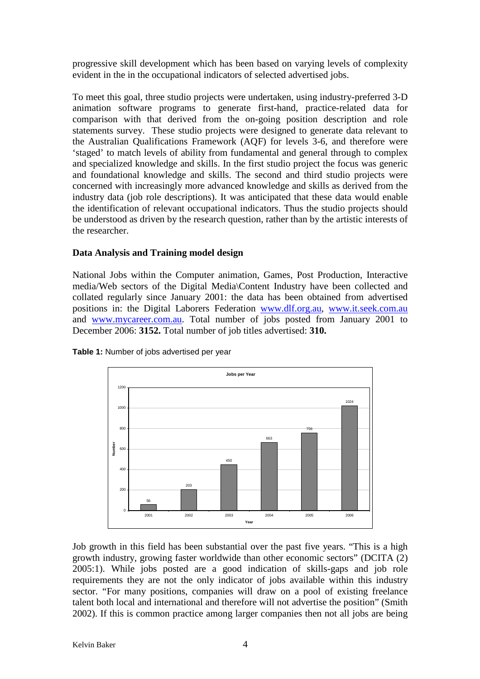progressive skill development which has been based on varying levels of complexity evident in the in the occupational indicators of selected advertised jobs.

To meet this goal, three studio projects were undertaken, using industry-preferred 3-D animation software programs to generate first-hand, practice-related data for comparison with that derived from the on-going position description and role statements survey. These studio projects were designed to generate data relevant to the Australian Qualifications Framework (AQF) for levels 3-6, and therefore were 'staged' to match levels of ability from fundamental and general through to complex and specialized knowledge and skills. In the first studio project the focus was generic and foundational knowledge and skills. The second and third studio projects were concerned with increasingly more advanced knowledge and skills as derived from the industry data (job role descriptions). It was anticipated that these data would enable the identification of relevant occupational indicators. Thus the studio projects should be understood as driven by the research question, rather than by the artistic interests of the researcher.

## **Data Analysis and Training model design**

National Jobs within the Computer animation, Games, Post Production, Interactive media/Web sectors of the Digital Media\Content Industry have been collected and collated regularly since January 2001: the data has been obtained from advertised positions in: the Digital Laborers Federation www.dlf.org.au, www.it.seek.com.au and www.mycareer.com.au. Total number of jobs posted from January 2001 to December 2006: **3152.** Total number of job titles advertised: **310.** 



**Table 1:** Number of jobs advertised per year

Job growth in this field has been substantial over the past five years. "This is a high growth industry, growing faster worldwide than other economic sectors" (DCITA (2) 2005:1). While jobs posted are a good indication of skills-gaps and job role requirements they are not the only indicator of jobs available within this industry sector. "For many positions, companies will draw on a pool of existing freelance talent both local and international and therefore will not advertise the position" (Smith 2002). If this is common practice among larger companies then not all jobs are being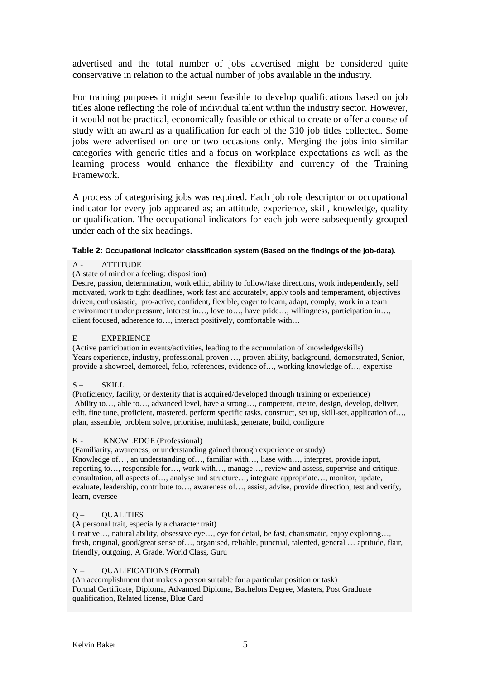advertised and the total number of jobs advertised might be considered quite conservative in relation to the actual number of jobs available in the industry.

For training purposes it might seem feasible to develop qualifications based on job titles alone reflecting the role of individual talent within the industry sector. However, it would not be practical, economically feasible or ethical to create or offer a course of study with an award as a qualification for each of the 310 job titles collected. Some jobs were advertised on one or two occasions only. Merging the jobs into similar categories with generic titles and a focus on workplace expectations as well as the learning process would enhance the flexibility and currency of the Training Framework.

A process of categorising jobs was required. Each job role descriptor or occupational indicator for every job appeared as; an attitude, experience, skill, knowledge, quality or qualification. The occupational indicators for each job were subsequently grouped under each of the six headings.

#### **Table 2: Occupational Indicator classification system (Based on the findings of the job-data).**

#### A - ATTITUDE

#### (A state of mind or a feeling; disposition)

Desire, passion, determination, work ethic, ability to follow/take directions, work independently, self motivated, work to tight deadlines, work fast and accurately, apply tools and temperament, objectives driven, enthusiastic, pro-active, confident, flexible, eager to learn, adapt, comply, work in a team environment under pressure, interest in…, love to…, have pride…, willingness, participation in…, client focused, adherence to…, interact positively, comfortable with…

#### E – EXPERIENCE

(Active participation in events/activities, leading to the accumulation of knowledge/skills) Years experience, industry, professional, proven …, proven ability, background, demonstrated, Senior, provide a showreel, demoreel, folio, references, evidence of…, working knowledge of…, expertise

#### S-SKILL

(Proficiency, facility, or dexterity that is acquired/developed through training or experience) Ability to…, able to…, advanced level, have a strong…, competent, create, design, develop, deliver, edit, fine tune, proficient, mastered, perform specific tasks, construct, set up, skill-set, application of…, plan, assemble, problem solve, prioritise, multitask, generate, build, configure

#### K - KNOWLEDGE (Professional)

(Familiarity, awareness, or understanding gained through experience or study) Knowledge of…, an understanding of…, familiar with…, liase with…, interpret, provide input, reporting to…, responsible for…, work with…, manage…, review and assess, supervise and critique, consultation, all aspects of…, analyse and structure…, integrate appropriate…, monitor, update, evaluate, leadership, contribute to…, awareness of…, assist, advise, provide direction, test and verify, learn, oversee

#### Q – QUALITIES

(A personal trait, especially a character trait)

Creative…, natural ability, obsessive eye…, eye for detail, be fast, charismatic, enjoy exploring…, fresh, original, good/great sense of…, organised, reliable, punctual, talented, general … aptitude, flair, friendly, outgoing, A Grade, World Class, Guru

#### Y – QUALIFICATIONS (Formal)

(An accomplishment that makes a person suitable for a particular position or task) Formal Certificate, Diploma, Advanced Diploma, Bachelors Degree, Masters, Post Graduate qualification, Related license, Blue Card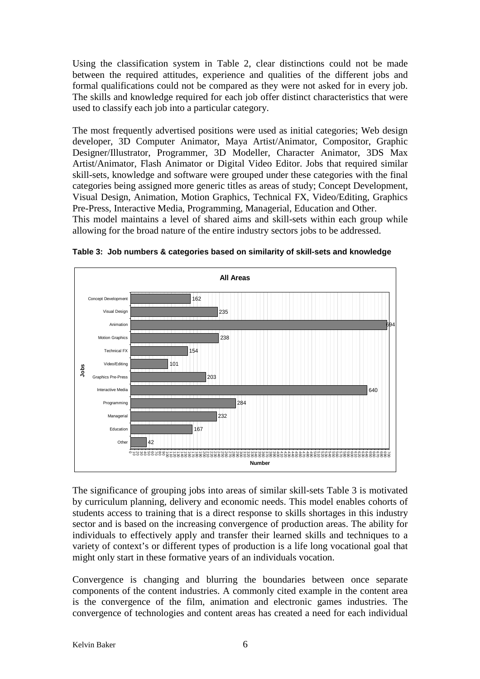Using the classification system in Table 2, clear distinctions could not be made between the required attitudes, experience and qualities of the different jobs and formal qualifications could not be compared as they were not asked for in every job. The skills and knowledge required for each job offer distinct characteristics that were used to classify each job into a particular category.

The most frequently advertised positions were used as initial categories; Web design developer, 3D Computer Animator, Maya Artist/Animator, Compositor, Graphic Designer/Illustrator, Programmer, 3D Modeller, Character Animator, 3DS Max Artist/Animator, Flash Animator or Digital Video Editor. Jobs that required similar skill-sets, knowledge and software were grouped under these categories with the final categories being assigned more generic titles as areas of study; Concept Development, Visual Design, Animation, Motion Graphics, Technical FX, Video/Editing, Graphics Pre-Press, Interactive Media, Programming, Managerial, Education and Other.

This model maintains a level of shared aims and skill-sets within each group while allowing for the broad nature of the entire industry sectors jobs to be addressed.



**Table 3: Job numbers & categories based on similarity of skill-sets and knowledge**

The significance of grouping jobs into areas of similar skill-sets Table 3 is motivated by curriculum planning, delivery and economic needs. This model enables cohorts of students access to training that is a direct response to skills shortages in this industry sector and is based on the increasing convergence of production areas. The ability for individuals to effectively apply and transfer their learned skills and techniques to a variety of context's or different types of production is a life long vocational goal that might only start in these formative years of an individuals vocation.

Convergence is changing and blurring the boundaries between once separate components of the content industries. A commonly cited example in the content area is the convergence of the film, animation and electronic games industries. The convergence of technologies and content areas has created a need for each individual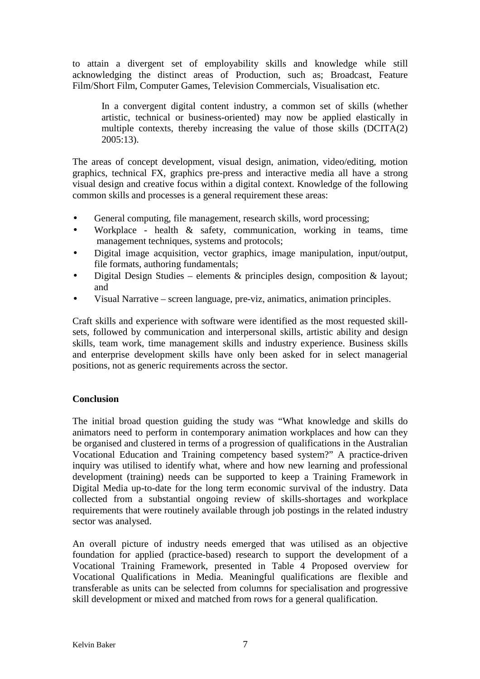to attain a divergent set of employability skills and knowledge while still acknowledging the distinct areas of Production, such as; Broadcast, Feature Film/Short Film, Computer Games, Television Commercials, Visualisation etc.

In a convergent digital content industry, a common set of skills (whether artistic, technical or business-oriented) may now be applied elastically in multiple contexts, thereby increasing the value of those skills (DCITA(2) 2005:13).

The areas of concept development, visual design, animation, video/editing, motion graphics, technical FX, graphics pre-press and interactive media all have a strong visual design and creative focus within a digital context. Knowledge of the following common skills and processes is a general requirement these areas:

- General computing, file management, research skills, word processing;
- Workplace health & safety, communication, working in teams, time management techniques, systems and protocols;
- Digital image acquisition, vector graphics, image manipulation, input/output, file formats, authoring fundamentals;
- Digital Design Studies elements & principles design, composition & layout; and
- Visual Narrative screen language, pre-viz, animatics, animation principles.

Craft skills and experience with software were identified as the most requested skillsets, followed by communication and interpersonal skills, artistic ability and design skills, team work, time management skills and industry experience. Business skills and enterprise development skills have only been asked for in select managerial positions, not as generic requirements across the sector.

## **Conclusion**

The initial broad question guiding the study was "What knowledge and skills do animators need to perform in contemporary animation workplaces and how can they be organised and clustered in terms of a progression of qualifications in the Australian Vocational Education and Training competency based system?" A practice-driven inquiry was utilised to identify what, where and how new learning and professional development (training) needs can be supported to keep a Training Framework in Digital Media up-to-date for the long term economic survival of the industry. Data collected from a substantial ongoing review of skills-shortages and workplace requirements that were routinely available through job postings in the related industry sector was analysed.

An overall picture of industry needs emerged that was utilised as an objective foundation for applied (practice-based) research to support the development of a Vocational Training Framework, presented in Table 4 Proposed overview for Vocational Qualifications in Media. Meaningful qualifications are flexible and transferable as units can be selected from columns for specialisation and progressive skill development or mixed and matched from rows for a general qualification.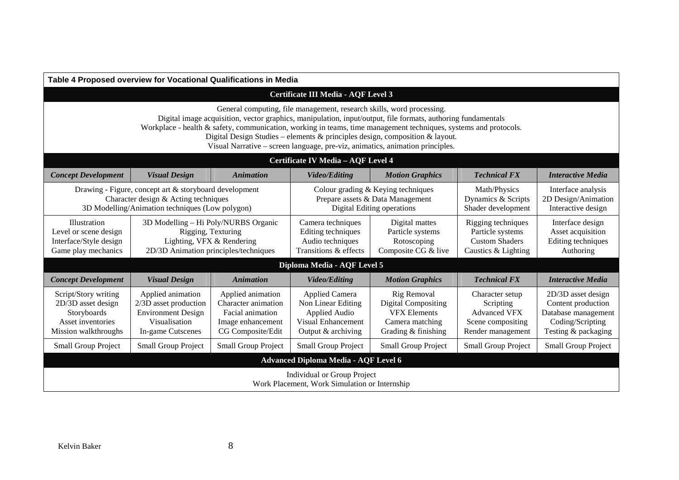| Table 4 Proposed overview for Vocational Qualifications in Media                                                                                                                                                                                                                                                                                                                                                                                                           |                                                                                                                                  |                                                                                                        |                                                                                                          |                                                                                                            |                                                                                               |                                                                                                            |
|----------------------------------------------------------------------------------------------------------------------------------------------------------------------------------------------------------------------------------------------------------------------------------------------------------------------------------------------------------------------------------------------------------------------------------------------------------------------------|----------------------------------------------------------------------------------------------------------------------------------|--------------------------------------------------------------------------------------------------------|----------------------------------------------------------------------------------------------------------|------------------------------------------------------------------------------------------------------------|-----------------------------------------------------------------------------------------------|------------------------------------------------------------------------------------------------------------|
| <b>Certificate III Media - AQF Level 3</b>                                                                                                                                                                                                                                                                                                                                                                                                                                 |                                                                                                                                  |                                                                                                        |                                                                                                          |                                                                                                            |                                                                                               |                                                                                                            |
| General computing, file management, research skills, word processing.<br>Digital image acquisition, vector graphics, manipulation, input/output, file formats, authoring fundamentals<br>Workplace - health & safety, communication, working in teams, time management techniques, systems and protocols.<br>Digital Design Studies – elements & principles design, composition & layout.<br>Visual Narrative - screen language, pre-viz, animatics, animation principles. |                                                                                                                                  |                                                                                                        |                                                                                                          |                                                                                                            |                                                                                               |                                                                                                            |
| Certificate IV Media - AQF Level 4                                                                                                                                                                                                                                                                                                                                                                                                                                         |                                                                                                                                  |                                                                                                        |                                                                                                          |                                                                                                            |                                                                                               |                                                                                                            |
| <b>Concept Development</b>                                                                                                                                                                                                                                                                                                                                                                                                                                                 | <b>Visual Design</b>                                                                                                             | <b>Animation</b>                                                                                       | <b>Video/Editing</b>                                                                                     | <b>Motion Graphics</b>                                                                                     | <b>Technical FX</b>                                                                           | <b>Interactive Media</b>                                                                                   |
| Drawing - Figure, concept art & storyboard development<br>Character design & Acting techniques<br>3D Modelling/Animation techniques (Low polygon)                                                                                                                                                                                                                                                                                                                          |                                                                                                                                  |                                                                                                        | Colour grading & Keying techniques<br>Prepare assets & Data Management<br>Digital Editing operations     |                                                                                                            | Math/Physics<br>Dynamics & Scripts<br>Shader development                                      | Interface analysis<br>2D Design/Animation<br>Interactive design                                            |
| Illustration<br>Level or scene design<br>Interface/Style design<br>Game play mechanics                                                                                                                                                                                                                                                                                                                                                                                     | 3D Modelling - Hi Poly/NURBS Organic<br>Rigging, Texturing<br>Lighting, VFX & Rendering<br>2D/3D Animation principles/techniques |                                                                                                        | Camera techniques<br>Editing techniques<br>Audio techniques<br>Transitions & effects                     | Digital mattes<br>Particle systems<br>Rotoscoping<br>Composite CG & live                                   | Rigging techniques<br>Particle systems<br><b>Custom Shaders</b><br>Caustics & Lighting        | Interface design<br>Asset acquisition<br>Editing techniques<br>Authoring                                   |
| Diploma Media - AQF Level 5                                                                                                                                                                                                                                                                                                                                                                                                                                                |                                                                                                                                  |                                                                                                        |                                                                                                          |                                                                                                            |                                                                                               |                                                                                                            |
| <b>Concept Development</b>                                                                                                                                                                                                                                                                                                                                                                                                                                                 | <b>Visual Design</b>                                                                                                             | <b>Animation</b>                                                                                       | <b>Video/Editing</b>                                                                                     | <b>Motion Graphics</b>                                                                                     | <b>Technical FX</b>                                                                           | <b>Interactive Media</b>                                                                                   |
| Script/Story writing<br>2D/3D asset design<br>Storyboards<br>Asset inventories<br>Mission walkthroughs                                                                                                                                                                                                                                                                                                                                                                     | Applied animation<br>2/3D asset production<br><b>Environment Design</b><br>Visualisation<br>In-game Cutscenes                    | Applied animation<br>Character animation<br>Facial animation<br>Image enhancement<br>CG Composite/Edit | <b>Applied Camera</b><br>Non Linear Editing<br>Applied Audio<br>Visual Enhancement<br>Output & archiving | Rig Removal<br><b>Digital Compositing</b><br><b>VFX Elements</b><br>Camera matching<br>Grading & finishing | Character setup<br>Scripting<br><b>Advanced VFX</b><br>Scene compositing<br>Render management | 2D/3D asset design<br>Content production<br>Database management<br>Coding/Scripting<br>Testing & packaging |
| <b>Small Group Project</b>                                                                                                                                                                                                                                                                                                                                                                                                                                                 | Small Group Project                                                                                                              | <b>Small Group Project</b>                                                                             | <b>Small Group Project</b>                                                                               | <b>Small Group Project</b>                                                                                 | <b>Small Group Project</b>                                                                    | Small Group Project                                                                                        |
| <b>Advanced Diploma Media - AQF Level 6</b>                                                                                                                                                                                                                                                                                                                                                                                                                                |                                                                                                                                  |                                                                                                        |                                                                                                          |                                                                                                            |                                                                                               |                                                                                                            |
| <b>Individual or Group Project</b><br>Work Placement, Work Simulation or Internship                                                                                                                                                                                                                                                                                                                                                                                        |                                                                                                                                  |                                                                                                        |                                                                                                          |                                                                                                            |                                                                                               |                                                                                                            |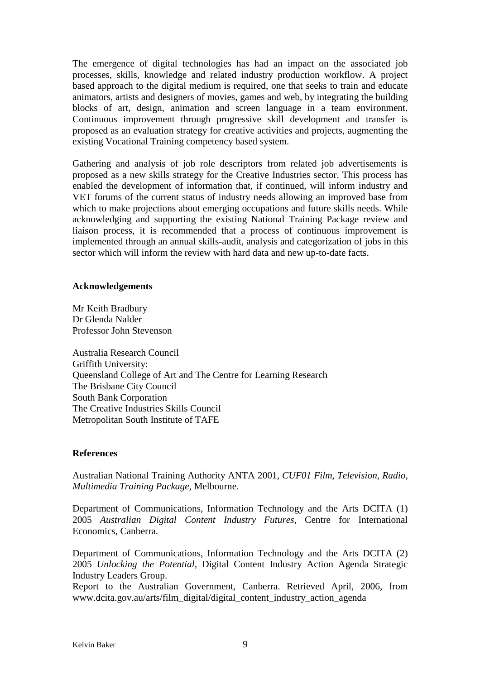The emergence of digital technologies has had an impact on the associated job processes, skills, knowledge and related industry production workflow. A project based approach to the digital medium is required, one that seeks to train and educate animators, artists and designers of movies, games and web, by integrating the building blocks of art, design, animation and screen language in a team environment. Continuous improvement through progressive skill development and transfer is proposed as an evaluation strategy for creative activities and projects, augmenting the existing Vocational Training competency based system.

Gathering and analysis of job role descriptors from related job advertisements is proposed as a new skills strategy for the Creative Industries sector. This process has enabled the development of information that, if continued, will inform industry and VET forums of the current status of industry needs allowing an improved base from which to make projections about emerging occupations and future skills needs. While acknowledging and supporting the existing National Training Package review and liaison process, it is recommended that a process of continuous improvement is implemented through an annual skills-audit, analysis and categorization of jobs in this sector which will inform the review with hard data and new up-to-date facts.

### **Acknowledgements**

Mr Keith Bradbury Dr Glenda Nalder Professor John Stevenson

Australia Research Council Griffith University: Queensland College of Art and The Centre for Learning Research The Brisbane City Council South Bank Corporation The Creative Industries Skills Council Metropolitan South Institute of TAFE

## **References**

Australian National Training Authority ANTA 2001, *CUF01 Film, Television, Radio, Multimedia Training Package,* Melbourne.

Department of Communications, Information Technology and the Arts DCITA (1) 2005 *Australian Digital Content Industry Futures,* Centre for International Economics, Canberra.

Department of Communications, Information Technology and the Arts DCITA (2) 2005 *Unlocking the Potential,* Digital Content Industry Action Agenda Strategic Industry Leaders Group.

Report to the Australian Government, Canberra. Retrieved April, 2006, from www.dcita.gov.au/arts/film\_digital/digital\_content\_industry\_action\_agenda